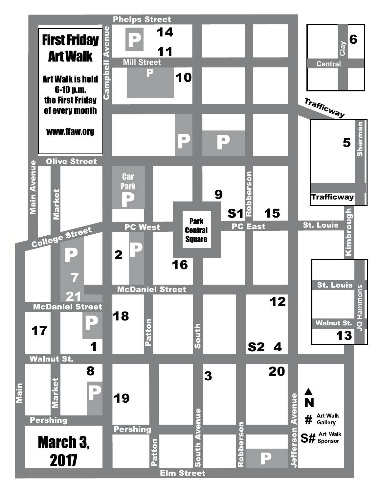